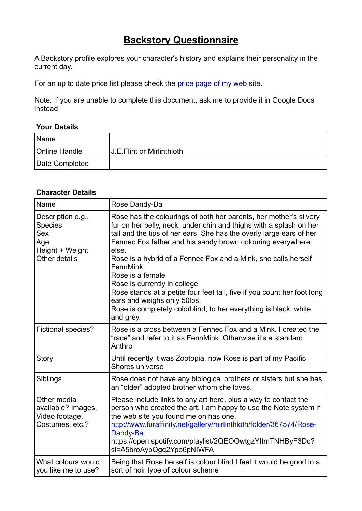## **Backstory Questionnaire**

A Backstory profile explores your character's history and explains their personality in the current day.

For an up to date price list please check the price page of my web site.

Note: If you are unable to complete this document, ask me to provide it in Google Docs instead.

## **Your Details**

| Name                 |                           |
|----------------------|---------------------------|
| <b>Online Handle</b> | U.E.Flint or Mirlinthloth |
| Date Completed       |                           |

## **Character Details**

| Name                                                                                         | Rose Dandy-Ba                                                                                                                                                                                                                                                                                                                                                                                                                                                                                                                                                                                                      |
|----------------------------------------------------------------------------------------------|--------------------------------------------------------------------------------------------------------------------------------------------------------------------------------------------------------------------------------------------------------------------------------------------------------------------------------------------------------------------------------------------------------------------------------------------------------------------------------------------------------------------------------------------------------------------------------------------------------------------|
| Description e.g.,<br><b>Species</b><br><b>Sex</b><br>Age<br>Height + Weight<br>Other details | Rose has the colourings of both her parents, her mother's silvery<br>fur on her belly, neck, under chin and thighs with a splash on her<br>tail and the tips of her ears. She has the overly large ears of her<br>Fennec Fox father and his sandy brown colouring everywhere<br>else.<br>Rose is a hybrid of a Fennec Fox and a Mink, she calls herself<br>FennMink<br>Rose is a female<br>Rose is currently in college<br>Rose stands at a petite four feet tall, five if you count her foot long<br>ears and weighs only 50lbs.<br>Rose is completely colorblind, to her everything is black, white<br>and grey. |
| <b>Fictional species?</b>                                                                    | Rose is a cross between a Fennec Fox and a Mink. I created the<br>"race" and refer to it as FennMink. Otherwise it's a standard<br>Anthro                                                                                                                                                                                                                                                                                                                                                                                                                                                                          |
| <b>Story</b>                                                                                 | Until recently it was Zootopia, now Rose is part of my Pacific<br>Shores universe                                                                                                                                                                                                                                                                                                                                                                                                                                                                                                                                  |
| Siblings                                                                                     | Rose does not have any biological brothers or sisters but she has<br>an "older" adopted brother whom she loves.                                                                                                                                                                                                                                                                                                                                                                                                                                                                                                    |
| Other media<br>available? Images,<br>Video footage,<br>Costumes, etc.?                       | Please include links to any art here, plus a way to contact the<br>person who created the art. I am happy to use the Note system if<br>the web site you found me on has one.<br>http://www.furaffinity.net/gallery/mirlinthloth/folder/367574/Rose-<br>Dandy-Ba<br>https://open.spotify.com/playlist/2QEOOwtgzYltmTNHByF3Dc?<br>si=A5broAybQgq2Ypo6pNIWFA                                                                                                                                                                                                                                                          |
| What colours would<br>you like me to use?                                                    | Being that Rose herself is colour blind I feel it would be good in a<br>sort of noir type of colour scheme                                                                                                                                                                                                                                                                                                                                                                                                                                                                                                         |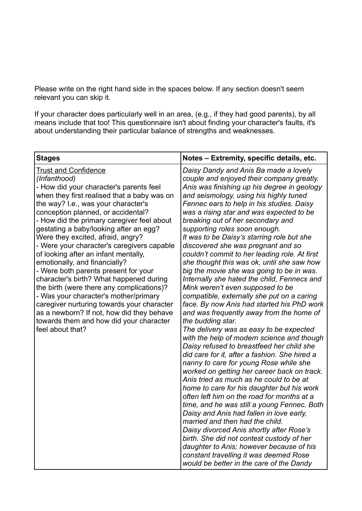Please write on the right hand side in the spaces below. If any section doesn't seem relevant you can skip it.

If your character does particularly well in an area, (e.g., if they had good parents), by all means include that too! This questionnaire isn't about finding your character's faults, it's about understanding their particular balance of strengths and weaknesses.

| <b>Stages</b>                                                                                                                                                                                                                                                                                                                                                                                                                                                                                                                                                                                                                                                                                                                                                                                             | Notes - Extremity, specific details, etc.                                                                                                                                                                                                                                                                                                                                                                                                                                                                                                                                                                                                                                                                                                                                                                                                                                                                                                                                                                                                                                                                                                                                                                                                                                                                                                                                                                                                                                                                                                                                                                  |
|-----------------------------------------------------------------------------------------------------------------------------------------------------------------------------------------------------------------------------------------------------------------------------------------------------------------------------------------------------------------------------------------------------------------------------------------------------------------------------------------------------------------------------------------------------------------------------------------------------------------------------------------------------------------------------------------------------------------------------------------------------------------------------------------------------------|------------------------------------------------------------------------------------------------------------------------------------------------------------------------------------------------------------------------------------------------------------------------------------------------------------------------------------------------------------------------------------------------------------------------------------------------------------------------------------------------------------------------------------------------------------------------------------------------------------------------------------------------------------------------------------------------------------------------------------------------------------------------------------------------------------------------------------------------------------------------------------------------------------------------------------------------------------------------------------------------------------------------------------------------------------------------------------------------------------------------------------------------------------------------------------------------------------------------------------------------------------------------------------------------------------------------------------------------------------------------------------------------------------------------------------------------------------------------------------------------------------------------------------------------------------------------------------------------------------|
| <b>Trust and Confidence</b><br>(Infanthood)<br>- How did your character's parents feel<br>when they first realised that a baby was on<br>the way? I.e., was your character's<br>conception planned, or accidental?<br>- How did the primary caregiver feel about<br>gestating a baby/looking after an egg?<br>Were they excited, afraid, angry?<br>- Were your character's caregivers capable<br>of looking after an infant mentally,<br>emotionally, and financially?<br>- Were both parents present for your<br>character's birth? What happened during<br>the birth (were there any complications)?<br>- Was your character's mother/primary<br>caregiver nurturing towards your character<br>as a newborn? If not, how did they behave<br>towards them and how did your character<br>feel about that? | Daisy Dandy and Anis Ba made a lovely<br>couple and enjoyed their company greatly.<br>Anis was finishing up his degree in geology<br>and seismology, using his highly tuned<br>Fennec ears to help in his studies. Daisy<br>was a rising star and was expected to be<br>breaking out of her secondary and<br>supporting roles soon enough.<br>It was to be Daisy's starring role but she<br>discovered she was pregnant and so<br>couldn't commit to her leading role. At first<br>she thought this was ok, until she saw how<br>big the movie she was going to be in was.<br>Internally she hated the child, Fennecs and<br>Mink weren't even supposed to be<br>compatible, externally she put on a caring<br>face. By now Anis had started his PhD work<br>and was frequently away from the home of<br>the budding star.<br>The delivery was as easy to be expected<br>with the help of modern science and though<br>Daisy refused to breastfeed her child she<br>did care for it, after a fashion. She hired a<br>nanny to care for young Rose while she<br>worked on getting her career back on track.<br>Anis tried as much as he could to be at<br>home to care for his daughter but his work<br>often left him on the road for months at a<br>time, and he was still a young Fennec. Both<br>Daisy and Anis had fallen in love early,<br>married and then had the child.<br>Daisy divorced Anis shortly after Rose's<br>birth. She did not contest custody of her<br>daughter to Anis; however because of his<br>constant travelling it was deemed Rose<br>would be better in the care of the Dandy |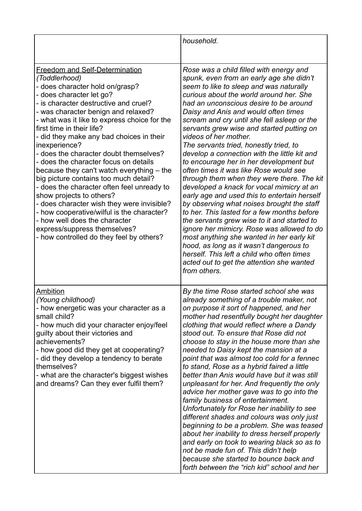|                                                                                                                                                                                                                                                                                                                                                                                                                                                                                                                                                                                                                                                                                                                                                                                                             | household.                                                                                                                                                                                                                                                                                                                                                                                                                                                                                                                                                                                                                                                                                                                                                                                                                                                                                                                                                                                                                                                                                              |
|-------------------------------------------------------------------------------------------------------------------------------------------------------------------------------------------------------------------------------------------------------------------------------------------------------------------------------------------------------------------------------------------------------------------------------------------------------------------------------------------------------------------------------------------------------------------------------------------------------------------------------------------------------------------------------------------------------------------------------------------------------------------------------------------------------------|---------------------------------------------------------------------------------------------------------------------------------------------------------------------------------------------------------------------------------------------------------------------------------------------------------------------------------------------------------------------------------------------------------------------------------------------------------------------------------------------------------------------------------------------------------------------------------------------------------------------------------------------------------------------------------------------------------------------------------------------------------------------------------------------------------------------------------------------------------------------------------------------------------------------------------------------------------------------------------------------------------------------------------------------------------------------------------------------------------|
| <b>Freedom and Self-Determination</b><br>(Toddlerhood)<br>- does character hold on/grasp?<br>- does character let go?<br>- is character destructive and cruel?<br>- was character benign and relaxed?<br>- what was it like to express choice for the<br>first time in their life?<br>- did they make any bad choices in their<br>inexperience?<br>- does the character doubt themselves?<br>- does the character focus on details<br>because they can't watch everything - the<br>big picture contains too much detail?<br>- does the character often feel unready to<br>show projects to others?<br>- does character wish they were invisible?<br>- how cooperative/wilful is the character?<br>- how well does the character<br>express/suppress themselves?<br>- how controlled do they feel by others? | Rose was a child filled with energy and<br>spunk, even from an early age she didn't<br>seem to like to sleep and was naturally<br>curious about the world around her. She<br>had an unconscious desire to be around<br>Daisy and Anis and would often times<br>scream and cry until she fell asleep or the<br>servants grew wise and started putting on<br>videos of her mother.<br>The servants tried, honestly tried, to<br>develop a connection with the little kit and<br>to encourage her in her development but<br>often times it was like Rose would see<br>through them when they were there. The kit<br>developed a knack for vocal mimicry at an<br>early age and used this to entertain herself<br>by observing what noises brought the staff<br>to her. This lasted for a few months before<br>the servants grew wise to it and started to<br>ignore her mimicry. Rose was allowed to do<br>most anything she wanted in her early kit<br>hood, as long as it wasn't dangerous to<br>herself. This left a child who often times<br>acted out to get the attention she wanted<br>from others. |
| Ambition<br>(Young childhood)<br>- how energetic was your character as a<br>small child?<br>- how much did your character enjoy/feel<br>guilty about their victories and<br>achievements?<br>- how good did they get at cooperating?<br>- did they develop a tendency to berate<br>themselves?<br>- what are the character's biggest wishes<br>and dreams? Can they ever fulfil them?                                                                                                                                                                                                                                                                                                                                                                                                                       | By the time Rose started school she was<br>already something of a trouble maker, not<br>on purpose it sort of happened, and her<br>mother had resentfully bought her daughter<br>clothing that would reflect where a Dandy<br>stood out. To ensure that Rose did not<br>choose to stay in the house more than she<br>needed to Daisy kept the mansion at a<br>point that was almost too cold for a fennec<br>to stand, Rose as a hybrid faired a little<br>better than Anis would have but it was still<br>unpleasant for her. And frequently the only<br>advice her mother gave was to go into the<br>family business of entertainment.<br>Unfortunately for Rose her inability to see<br>different shades and colours was only just<br>beginning to be a problem. She was teased<br>about her inability to dress herself properly<br>and early on took to wearing black so as to<br>not be made fun of. This didn't help<br>because she started to bounce back and<br>forth between the "rich kid" school and her                                                                                     |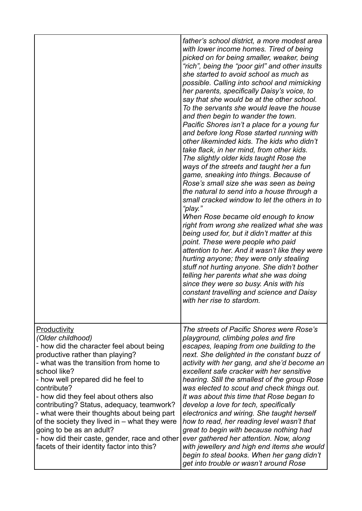|                                                                                                                                                                                                                                                                                                                                                                                                                                                                                                                                                         | father's school district, a more modest area<br>with lower income homes. Tired of being<br>picked on for being smaller, weaker, being<br>"rich", being the "poor girl" and other insults<br>she started to avoid school as much as<br>possible. Calling into school and mimicking<br>her parents, specifically Daisy's voice, to<br>say that she would be at the other school.<br>To the servants she would leave the house<br>and then begin to wander the town.<br>Pacific Shores isn't a place for a young fur<br>and before long Rose started running with<br>other likeminded kids. The kids who didn't<br>take flack, in her mind, from other kids.<br>The slightly older kids taught Rose the<br>ways of the streets and taught her a fun<br>game, sneaking into things. Because of<br>Rose's small size she was seen as being<br>the natural to send into a house through a<br>small cracked window to let the others in to<br>"play."<br>When Rose became old enough to know<br>right from wrong she realized what she was<br>being used for, but it didn't matter at this<br>point. These were people who paid<br>attention to her. And it wasn't like they were<br>hurting anyone; they were only stealing<br>stuff not hurting anyone. She didn't bother<br>telling her parents what she was doing<br>since they were so busy. Anis with his<br>constant travelling and science and Daisy<br>with her rise to stardom. |
|---------------------------------------------------------------------------------------------------------------------------------------------------------------------------------------------------------------------------------------------------------------------------------------------------------------------------------------------------------------------------------------------------------------------------------------------------------------------------------------------------------------------------------------------------------|------------------------------------------------------------------------------------------------------------------------------------------------------------------------------------------------------------------------------------------------------------------------------------------------------------------------------------------------------------------------------------------------------------------------------------------------------------------------------------------------------------------------------------------------------------------------------------------------------------------------------------------------------------------------------------------------------------------------------------------------------------------------------------------------------------------------------------------------------------------------------------------------------------------------------------------------------------------------------------------------------------------------------------------------------------------------------------------------------------------------------------------------------------------------------------------------------------------------------------------------------------------------------------------------------------------------------------------------------------------------------------------------------------------------------------|
| <b>Productivity</b><br>(Older childhood)<br>- how did the character feel about being<br>productive rather than playing?<br>- what was the transition from home to<br>school like?<br>- how well prepared did he feel to<br>contribute?<br>- how did they feel about others also<br>contributing? Status, adequacy, teamwork?<br>- what were their thoughts about being part<br>of the society they lived in – what they were<br>going to be as an adult?<br>- how did their caste, gender, race and other<br>facets of their identity factor into this? | The streets of Pacific Shores were Rose's<br>playground, climbing poles and fire<br>escapes, leaping from one building to the<br>next. She delighted in the constant buzz of<br>activity with her gang, and she'd become an<br>excellent safe cracker with her sensitive<br>hearing. Still the smallest of the group Rose<br>was elected to scout and check things out.<br>It was about this time that Rose began to<br>develop a love for tech, specifically<br>electronics and wiring. She taught herself<br>how to read, her reading level wasn't that<br>great to begin with because nothing had<br>ever gathered her attention. Now, along<br>with jewellery and high end items she would<br>begin to steal books. When her gang didn't<br>get into trouble or wasn't around Rose                                                                                                                                                                                                                                                                                                                                                                                                                                                                                                                                                                                                                                             |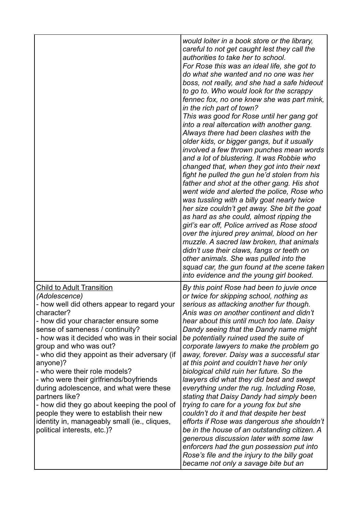|                                                                                                                                                                                                                                                                                                                                                                                                                                                                                                                                                                                                                                                    | would loiter in a book store or the library,<br>careful to not get caught lest they call the<br>authorities to take her to school.<br>For Rose this was an ideal life, she got to<br>do what she wanted and no one was her<br>boss, not really, and she had a safe hideout<br>to go to. Who would look for the scrappy<br>fennec fox, no one knew she was part mink,<br>in the rich part of town?<br>This was good for Rose until her gang got<br>into a real altercation with another gang.<br>Always there had been clashes with the<br>older kids, or bigger gangs, but it usually<br>involved a few thrown punches mean words<br>and a lot of blustering. It was Robbie who<br>changed that, when they got into their next<br>fight he pulled the gun he'd stolen from his<br>father and shot at the other gang. His shot<br>went wide and alerted the police, Rose who<br>was tussling with a billy goat nearly twice<br>her size couldn't get away. She bit the goat<br>as hard as she could, almost ripping the<br>girl's ear off, Police arrived as Rose stood<br>over the injured prey animal, blood on her<br>muzzle. A sacred law broken, that animals<br>didn't use their claws, fangs or teeth on<br>other animals. She was pulled into the<br>squad car, the gun found at the scene taken<br>into evidence and the young girl booked. |
|----------------------------------------------------------------------------------------------------------------------------------------------------------------------------------------------------------------------------------------------------------------------------------------------------------------------------------------------------------------------------------------------------------------------------------------------------------------------------------------------------------------------------------------------------------------------------------------------------------------------------------------------------|-----------------------------------------------------------------------------------------------------------------------------------------------------------------------------------------------------------------------------------------------------------------------------------------------------------------------------------------------------------------------------------------------------------------------------------------------------------------------------------------------------------------------------------------------------------------------------------------------------------------------------------------------------------------------------------------------------------------------------------------------------------------------------------------------------------------------------------------------------------------------------------------------------------------------------------------------------------------------------------------------------------------------------------------------------------------------------------------------------------------------------------------------------------------------------------------------------------------------------------------------------------------------------------------------------------------------------------------------------|
| <b>Child to Adult Transition</b><br>(Adolescence)<br>- how well did others appear to regard your<br>character?<br>- how did your character ensure some<br>sense of sameness / continuity?<br>- how was it decided who was in their social<br>group and who was out?<br>- who did they appoint as their adversary (if<br>anyone)?<br>- who were their role models?<br>- who were their girlfriends/boyfriends<br>during adolescence, and what were these<br>partners like?<br>- how did they go about keeping the pool of<br>people they were to establish their new<br>identity in, manageably small (ie., cliques,<br>political interests, etc.)? | By this point Rose had been to juvie once<br>or twice for skipping school, nothing as<br>serious as attacking another fur though.<br>Anis was on another continent and didn't<br>hear about this until much too late. Daisy<br>Dandy seeing that the Dandy name might<br>be potentially ruined used the suite of<br>corporate lawyers to make the problem go<br>away, forever. Daisy was a successful star<br>at this point and couldn't have her only<br>biological child ruin her future. So the<br>lawyers did what they did best and swept<br>everything under the rug. Including Rose,<br>stating that Daisy Dandy had simply been<br>trying to care for a young fox but she<br>couldn't do it and that despite her best<br>efforts if Rose was dangerous she shouldn't<br>be in the house of an outstanding citizen. A<br>generous discussion later with some law<br>enforcers had the gun possession put into<br>Rose's file and the injury to the billy goat<br>became not only a savage bite but an                                                                                                                                                                                                                                                                                                                                        |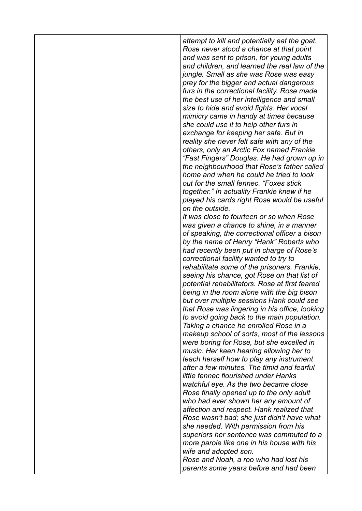*attempt to kill and potentially eat the goat. Rose never stood a chance at that point and was sent to prison, for young adults and children, and learned the real law of the jungle. Small as she was Rose was easy prey for the bigger and actual dangerous furs in the correctional facility. Rose made the best use of her intelligence and small size to hide and avoid fights. Her vocal mimicry came in handy at times because she could use it to help other furs in exchange for keeping her safe. But in reality she never felt safe with any of the others, only an Arctic Fox named Frankie "Fast Fingers" Douglas. He had grown up in the neighbourhood that Rose's father called home and when he could he tried to look out for the small fennec. "Foxes stick together." In actuality Frankie knew if he played his cards right Rose would be useful on the outside. It was close to fourteen or so when Rose was given a chance to shine, in a manner of speaking, the correctional officer a bison by the name of Henry "Hank" Roberts who had recently been put in charge of Rose's correctional facility wanted to try to rehabilitate some of the prisoners. Frankie, seeing his chance, got Rose on that list of potential rehabilitators. Rose at first feared being in the room alone with the big bison but over multiple sessions Hank could see that Rose was lingering in his office, looking to avoid going back to the main population. Taking a chance he enrolled Rose in a makeup school of sorts, most of the lessons were boring for Rose, but she excelled in music. Her keen hearing allowing her to teach herself how to play any instrument after a few minutes. The timid and fearful little fennec flourished under Hanks watchful eye. As the two became close Rose finally opened up to the only adult who had ever shown her any amount of affection and respect. Hank realized that Rose wasn't bad; she just didn't have what she needed. With permission from his* 

*superiors her sentence was commuted to a more parole like one in his house with his wife and adopted son.*

*Rose and Noah, a roo who had lost his parents some years before and had been*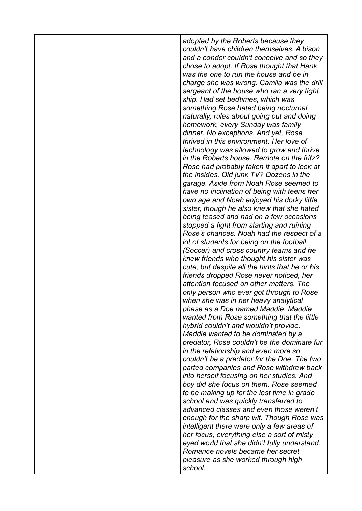| adopted by the Roberts because they<br>couldn't have children themselves. A bison<br>and a condor couldn't conceive and so they<br>chose to adopt. If Rose thought that Hank<br>was the one to run the house and be in<br>charge she was wrong. Camila was the drill<br>sergeant of the house who ran a very tight<br>ship. Had set bedtimes, which was<br>something Rose hated being nocturnal<br>naturally, rules about going out and doing<br>homework, every Sunday was family<br>dinner. No exceptions. And yet, Rose<br>thrived in this environment. Her love of<br>technology was allowed to grow and thrive<br>in the Roberts house. Remote on the fritz?<br>Rose had probably taken it apart to look at<br>the insides. Old junk TV? Dozens in the<br>garage. Aside from Noah Rose seemed to<br>have no inclination of being with teens her<br>own age and Noah enjoyed his dorky little<br>sister, though he also knew that she hated<br>being teased and had on a few occasions<br>stopped a fight from starting and ruining<br>Rose's chances. Noah had the respect of a<br>lot of students for being on the football<br>(Soccer) and cross country teams and he<br>knew friends who thought his sister was<br>cute, but despite all the hints that he or his<br>friends dropped Rose never noticed, her<br>attention focused on other matters. The<br>only person who ever got through to Rose<br>when she was in her heavy analytical<br>phase as a Doe named Maddie. Maddie<br>wanted from Rose something that the little<br>hybrid couldn't and wouldn't provide.<br>Maddie wanted to be dominated by a<br>predator, Rose couldn't be the dominate fur<br>in the relationship and even more so<br>couldn't be a predator for the Doe. The two<br>parted companies and Rose withdrew back<br>into herself focusing on her studies. And<br>boy did she focus on them. Rose seemed<br>to be making up for the lost time in grade<br>school and was quickly transferred to<br>advanced classes and even those weren't<br>enough for the sharp wit. Though Rose was<br>intelligent there were only a few areas of<br>her focus, everything else a sort of misty<br>eyed world that she didn't fully understand.<br>Romance novels became her secret |
|----------------------------------------------------------------------------------------------------------------------------------------------------------------------------------------------------------------------------------------------------------------------------------------------------------------------------------------------------------------------------------------------------------------------------------------------------------------------------------------------------------------------------------------------------------------------------------------------------------------------------------------------------------------------------------------------------------------------------------------------------------------------------------------------------------------------------------------------------------------------------------------------------------------------------------------------------------------------------------------------------------------------------------------------------------------------------------------------------------------------------------------------------------------------------------------------------------------------------------------------------------------------------------------------------------------------------------------------------------------------------------------------------------------------------------------------------------------------------------------------------------------------------------------------------------------------------------------------------------------------------------------------------------------------------------------------------------------------------------------------------------------------------------------------------------------------------------------------------------------------------------------------------------------------------------------------------------------------------------------------------------------------------------------------------------------------------------------------------------------------------------------------------------------------------------------------------------------------------------------------------------------|
| pleasure as she worked through high<br>school.                                                                                                                                                                                                                                                                                                                                                                                                                                                                                                                                                                                                                                                                                                                                                                                                                                                                                                                                                                                                                                                                                                                                                                                                                                                                                                                                                                                                                                                                                                                                                                                                                                                                                                                                                                                                                                                                                                                                                                                                                                                                                                                                                                                                                 |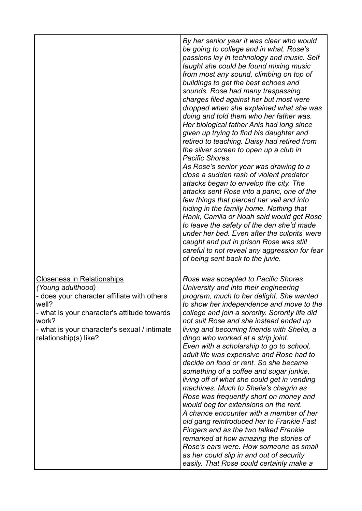|                                                                                                                                                                                                                                                 | By her senior year it was clear who would<br>be going to college and in what. Rose's<br>passions lay in technology and music. Self<br>taught she could be found mixing music<br>from most any sound, climbing on top of<br>buildings to get the best echoes and<br>sounds. Rose had many trespassing<br>charges filed against her but most were<br>dropped when she explained what she was<br>doing and told them who her father was.<br>Her biological father Anis had long since<br>given up trying to find his daughter and<br>retired to teaching. Daisy had retired from<br>the silver screen to open up a club in<br>Pacific Shores.<br>As Rose's senior year was drawing to a<br>close a sudden rash of violent predator<br>attacks began to envelop the city. The<br>attacks sent Rose into a panic, one of the<br>few things that pierced her veil and into<br>hiding in the family home. Nothing that<br>Hank, Camila or Noah said would get Rose<br>to leave the safety of the den she'd made<br>under her bed. Even after the culprits' were<br>caught and put in prison Rose was still<br>careful to not reveal any aggression for fear<br>of being sent back to the juvie. |
|-------------------------------------------------------------------------------------------------------------------------------------------------------------------------------------------------------------------------------------------------|------------------------------------------------------------------------------------------------------------------------------------------------------------------------------------------------------------------------------------------------------------------------------------------------------------------------------------------------------------------------------------------------------------------------------------------------------------------------------------------------------------------------------------------------------------------------------------------------------------------------------------------------------------------------------------------------------------------------------------------------------------------------------------------------------------------------------------------------------------------------------------------------------------------------------------------------------------------------------------------------------------------------------------------------------------------------------------------------------------------------------------------------------------------------------------------|
| <b>Closeness in Relationships</b><br>(Young adulthood)<br>- does your character affiliate with others<br>well?<br>- what is your character's attitude towards<br>work?<br>- what is your character's sexual / intimate<br>relationship(s) like? | Rose was accepted to Pacific Shores<br>University and into their engineering<br>program, much to her delight. She wanted<br>to show her independence and move to the<br>college and join a sorority. Sorority life did<br>not suit Rose and she instead ended up<br>living and becoming friends with Shelia, a<br>dingo who worked at a strip joint.<br>Even with a scholarship to go to school,<br>adult life was expensive and Rose had to<br>decide on food or rent. So she became<br>something of a coffee and sugar junkie,<br>living off of what she could get in vending<br>machines. Much to Shelia's chagrin as<br>Rose was frequently short on money and<br>would beg for extensions on the rent.<br>A chance encounter with a member of her<br>old gang reintroduced her to Frankie Fast<br><b>Fingers and as the two talked Frankie</b><br>remarked at how amazing the stories of<br>Rose's ears were. How someone as small<br>as her could slip in and out of security<br>easily. That Rose could certainly make a                                                                                                                                                          |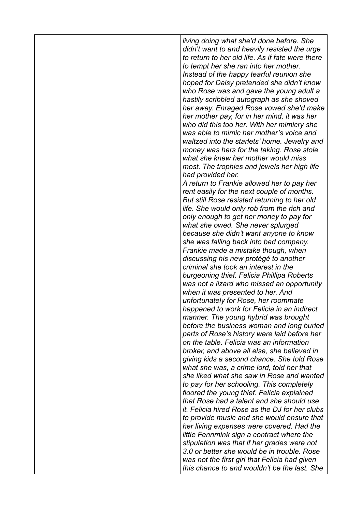*living doing what she'd done before. She didn't want to and heavily resisted the urge to return to her old life. As if fate were there to tempt her she ran into her mother. Instead of the happy tearful reunion she hoped for Daisy pretended she didn't know who Rose was and gave the young adult a hastily scribbled autograph as she shoved her away. Enraged Rose vowed she'd make her mother pay, for in her mind, it was her who did this too her. With her mimicry she was able to mimic her mother's voice and waltzed into the starlets' home. Jewelry and money was hers for the taking. Rose stole what she knew her mother would miss most. The trophies and jewels her high life had provided her. A return to Frankie allowed her to pay her rent easily for the next couple of months. But still Rose resisted returning to her old life. She would only rob from the rich and only enough to get her money to pay for what she owed. She never splurged because she didn't want anyone to know she was falling back into bad company. Frankie made a mistake though, when discussing his new protégé to another criminal she took an interest in the burgeoning thief. Felicia Phillipa Roberts was not a lizard who missed an opportunity when it was presented to her. And unfortunately for Rose, her roommate happened to work for Felicia in an indirect manner. The young hybrid was brought before the business woman and long buried parts of Rose's history were laid before her on the table. Felicia was an information broker, and above all else, she believed in giving kids a second chance. She told Rose what she was, a crime lord, told her that she liked what she saw in Rose and wanted to pay for her schooling. This completely floored the young thief. Felicia explained that Rose had a talent and she should use it. Felicia hired Rose as the DJ for her clubs to provide music and she would ensure that her living expenses were covered. Had the little Fennmink sign a contract where the stipulation was that if her grades were not 3.0 or better she would be in trouble. Rose was not the first girl that Felicia had given this chance to and wouldn't be the last. She*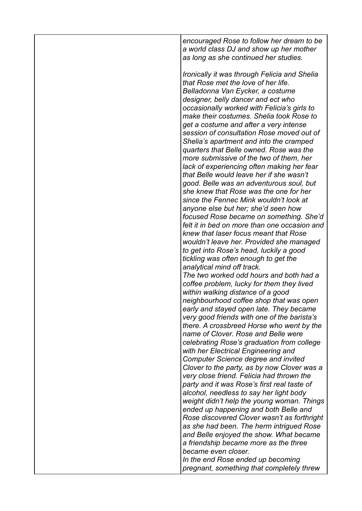*encouraged Rose to follow her dream to be a world class DJ and show up her mother as long as she continued her studies.*

*Ironically it was through Felicia and Shelia that Rose met the love of her life. Belladonna Van Eycker, a costume designer, belly dancer and ect who occasionally worked with Felicia's girls to make their costumes. Shelia took Rose to get a costume and after a very intense session of consultation Rose moved out of Shelia's apartment and into the cramped quarters that Belle owned. Rose was the more submissive of the two of them, her lack of experiencing often making her fear that Belle would leave her if she wasn't good. Belle was an adventurous soul, but she knew that Rose was the one for her since the Fennec Mink wouldn't look at anyone else but her; she'd seen how focused Rose became on something. She'd felt it in bed on more than one occasion and knew that laser focus meant that Rose wouldn't leave her. Provided she managed to get into Rose's head, luckily a good tickling was often enough to get the analytical mind off track. The two worked odd hours and both had a coffee problem, lucky for them they lived within walking distance of a good neighbourhood coffee shop that was open early and stayed open late. They became very good friends with one of the barista's there. A crossbreed Horse who went by the* 

*name of Clover. Rose and Belle were celebrating Rose's graduation from college with her Electrical Engineering and Computer Science degree and invited Clover to the party, as by now Clover was a very close friend. Felicia had thrown the party and it was Rose's first real taste of alcohol, needless to say her light body weight didn't help the young woman. Things ended up happening and both Belle and Rose discovered Clover wasn't as forthright as she had been. The herm intrigued Rose and Belle enjoyed the show. What became a friendship became more as the three became even closer.*

*In the end Rose ended up becoming pregnant, something that completely threw*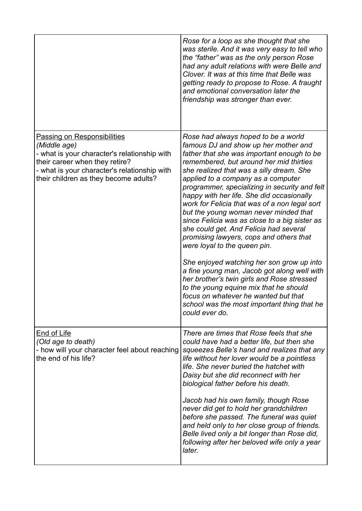|                                                                                                                                                                                                                               | Rose for a loop as she thought that she<br>was sterile. And it was very easy to tell who<br>the "father" was as the only person Rose<br>had any adult relations with were Belle and<br>Clover. It was at this time that Belle was<br>getting ready to propose to Rose. A fraught<br>and emotional conversation later the<br>friendship was stronger than ever.                                                                                                                                                                                                                                                                                                                                                                                                                                                                                                                                                    |
|-------------------------------------------------------------------------------------------------------------------------------------------------------------------------------------------------------------------------------|-------------------------------------------------------------------------------------------------------------------------------------------------------------------------------------------------------------------------------------------------------------------------------------------------------------------------------------------------------------------------------------------------------------------------------------------------------------------------------------------------------------------------------------------------------------------------------------------------------------------------------------------------------------------------------------------------------------------------------------------------------------------------------------------------------------------------------------------------------------------------------------------------------------------|
| <b>Passing on Responsibilities</b><br>(Middle age)<br>- what is your character's relationship with<br>their career when they retire?<br>- what is your character's relationship with<br>their children as they become adults? | Rose had always hoped to be a world<br>famous DJ and show up her mother and<br>father that she was important enough to be<br>remembered, but around her mid thirties<br>she realized that was a silly dream. She<br>applied to a company as a computer<br>programmer, specializing in security and felt<br>happy with her life. She did occasionally<br>work for Felicia that was of a non legal sort<br>but the young woman never minded that<br>since Felicia was as close to a big sister as<br>she could get. And Felicia had several<br>promising lawyers, cops and others that<br>were loyal to the queen pin.<br>She enjoyed watching her son grow up into<br>a fine young man, Jacob got along well with<br>her brother's twin girls and Rose stressed<br>to the young equine mix that he should<br>focus on whatever he wanted but that<br>school was the most important thing that he<br>could ever do. |
| End of Life<br>(Old age to death)<br>- how will your character feel about reaching<br>the end of his life?                                                                                                                    | There are times that Rose feels that she<br>could have had a better life, but then she<br>squeezes Belle's hand and realizes that any<br>life without her lover would be a pointless<br>life. She never buried the hatchet with<br>Daisy but she did reconnect with her<br>biological father before his death.<br>Jacob had his own family, though Rose<br>never did get to hold her grandchildren<br>before she passed. The funeral was quiet<br>and held only to her close group of friends.<br>Belle lived only a bit longer than Rose did,<br>following after her beloved wife only a year<br>later.                                                                                                                                                                                                                                                                                                          |